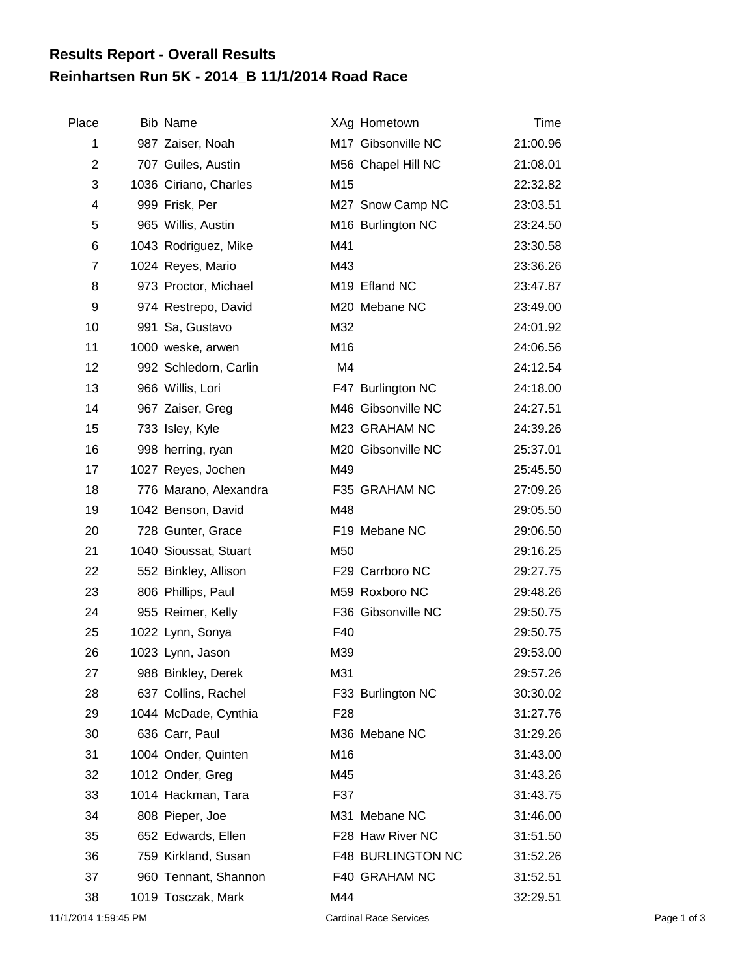## **Reinhartsen Run 5K - 2014\_B 11/1/2014 Road Race Results Report - Overall Results**

| Place | <b>Bib Name</b>       |                 | XAg Hometown       | <b>Time</b> |  |
|-------|-----------------------|-----------------|--------------------|-------------|--|
| 1     | 987 Zaiser, Noah      |                 | M17 Gibsonville NC | 21:00.96    |  |
| 2     | 707 Guiles, Austin    |                 | M56 Chapel Hill NC | 21:08.01    |  |
| 3     | 1036 Ciriano, Charles | M15             |                    | 22:32.82    |  |
| 4     | 999 Frisk, Per        |                 | M27 Snow Camp NC   | 23:03.51    |  |
| 5     | 965 Willis, Austin    |                 | M16 Burlington NC  | 23:24.50    |  |
| 6     | 1043 Rodriguez, Mike  | M41             |                    | 23:30.58    |  |
| 7     | 1024 Reyes, Mario     | M43             |                    | 23:36.26    |  |
| 8     | 973 Proctor, Michael  |                 | M19 Efland NC      | 23:47.87    |  |
| 9     | 974 Restrepo, David   |                 | M20 Mebane NC      | 23:49.00    |  |
| 10    | 991 Sa, Gustavo       | M32             |                    | 24:01.92    |  |
| 11    | 1000 weske, arwen     | M16             |                    | 24:06.56    |  |
| 12    | 992 Schledorn, Carlin | M4              |                    | 24:12.54    |  |
| 13    | 966 Willis, Lori      |                 | F47 Burlington NC  | 24:18.00    |  |
| 14    | 967 Zaiser, Greg      |                 | M46 Gibsonville NC | 24:27.51    |  |
| 15    | 733 Isley, Kyle       |                 | M23 GRAHAM NC      | 24:39.26    |  |
| 16    | 998 herring, ryan     |                 | M20 Gibsonville NC | 25:37.01    |  |
| 17    | 1027 Reyes, Jochen    | M49             |                    | 25:45.50    |  |
| 18    | 776 Marano, Alexandra |                 | F35 GRAHAM NC      | 27:09.26    |  |
| 19    | 1042 Benson, David    | M48             |                    | 29:05.50    |  |
| 20    | 728 Gunter, Grace     |                 | F19 Mebane NC      | 29:06.50    |  |
| 21    | 1040 Sioussat, Stuart | M50             |                    | 29:16.25    |  |
| 22    | 552 Binkley, Allison  |                 | F29 Carrboro NC    | 29:27.75    |  |
| 23    | 806 Phillips, Paul    |                 | M59 Roxboro NC     | 29:48.26    |  |
| 24    | 955 Reimer, Kelly     |                 | F36 Gibsonville NC | 29:50.75    |  |
| 25    | 1022 Lynn, Sonya      | F40             |                    | 29:50.75    |  |
| 26    | 1023 Lynn, Jason      | M39             |                    | 29:53.00    |  |
| 27    | 988 Binkley, Derek    | M31             |                    | 29:57.26    |  |
| 28    | 637 Collins, Rachel   |                 | F33 Burlington NC  | 30:30.02    |  |
| 29    | 1044 McDade, Cynthia  | F <sub>28</sub> |                    | 31:27.76    |  |
| 30    | 636 Carr, Paul        |                 | M36 Mebane NC      | 31:29.26    |  |
| 31    | 1004 Onder, Quinten   | M16             |                    | 31:43.00    |  |
| 32    | 1012 Onder, Greg      | M45             |                    | 31:43.26    |  |
| 33    | 1014 Hackman, Tara    | F37             |                    | 31:43.75    |  |
| 34    | 808 Pieper, Joe       |                 | M31 Mebane NC      | 31:46.00    |  |
| 35    | 652 Edwards, Ellen    |                 | F28 Haw River NC   | 31:51.50    |  |
| 36    | 759 Kirkland, Susan   |                 | F48 BURLINGTON NC  | 31:52.26    |  |
| 37    | 960 Tennant, Shannon  |                 | F40 GRAHAM NC      | 31:52.51    |  |
| 38    | 1019 Tosczak, Mark    | M44             |                    | 32:29.51    |  |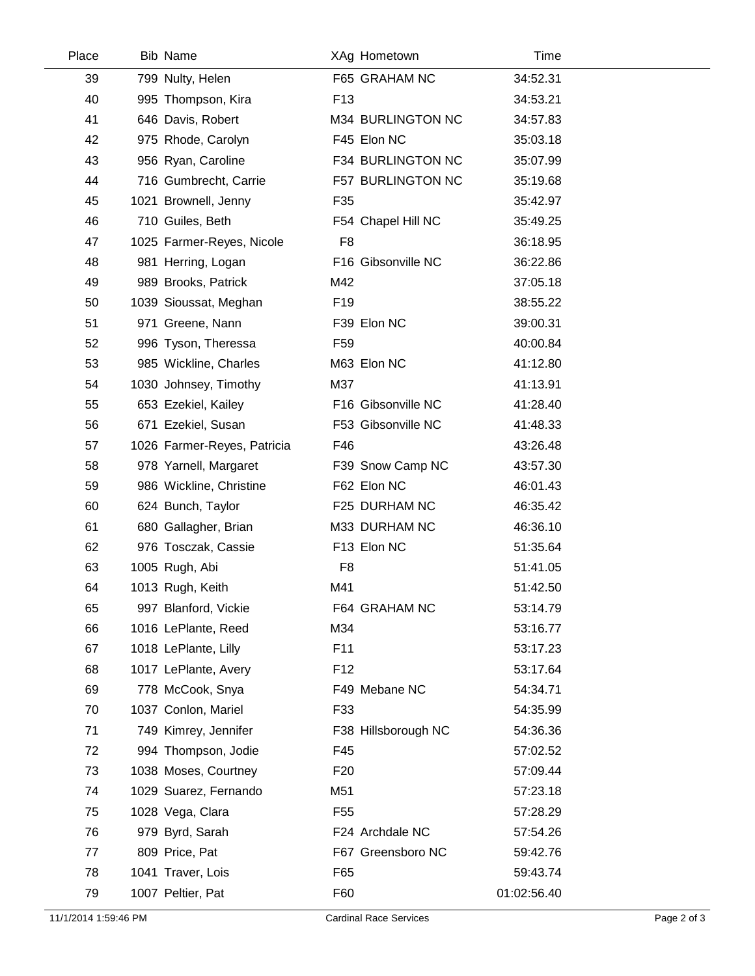| Place | <b>Bib Name</b>             |                 | XAg Hometown        | Time        |  |
|-------|-----------------------------|-----------------|---------------------|-------------|--|
| 39    | 799 Nulty, Helen            |                 | F65 GRAHAM NC       | 34:52.31    |  |
| 40    | 995 Thompson, Kira          | F <sub>13</sub> |                     | 34:53.21    |  |
| 41    | 646 Davis, Robert           |                 | M34 BURLINGTON NC   | 34:57.83    |  |
| 42    | 975 Rhode, Carolyn          |                 | F45 Elon NC         | 35:03.18    |  |
| 43    | 956 Ryan, Caroline          |                 | F34 BURLINGTON NC   | 35:07.99    |  |
| 44    | 716 Gumbrecht, Carrie       |                 | F57 BURLINGTON NC   | 35:19.68    |  |
| 45    | 1021 Brownell, Jenny        | F35             |                     | 35:42.97    |  |
| 46    | 710 Guiles, Beth            |                 | F54 Chapel Hill NC  | 35:49.25    |  |
| 47    | 1025 Farmer-Reyes, Nicole   | F <sub>8</sub>  |                     | 36:18.95    |  |
| 48    | 981 Herring, Logan          |                 | F16 Gibsonville NC  | 36:22.86    |  |
| 49    | 989 Brooks, Patrick         | M42             |                     | 37:05.18    |  |
| 50    | 1039 Sioussat, Meghan       | F <sub>19</sub> |                     | 38:55.22    |  |
| 51    | 971 Greene, Nann            |                 | F39 Elon NC         | 39:00.31    |  |
| 52    | 996 Tyson, Theressa         | F <sub>59</sub> |                     | 40:00.84    |  |
| 53    | 985 Wickline, Charles       |                 | M63 Elon NC         | 41:12.80    |  |
| 54    | 1030 Johnsey, Timothy       | M37             |                     | 41:13.91    |  |
| 55    | 653 Ezekiel, Kailey         |                 | F16 Gibsonville NC  | 41:28.40    |  |
| 56    | 671 Ezekiel, Susan          |                 | F53 Gibsonville NC  | 41:48.33    |  |
| 57    | 1026 Farmer-Reyes, Patricia | F46             |                     | 43:26.48    |  |
| 58    | 978 Yarnell, Margaret       |                 | F39 Snow Camp NC    | 43:57.30    |  |
| 59    | 986 Wickline, Christine     |                 | F62 Elon NC         | 46:01.43    |  |
| 60    | 624 Bunch, Taylor           |                 | F25 DURHAM NC       | 46:35.42    |  |
| 61    | 680 Gallagher, Brian        |                 | M33 DURHAM NC       | 46:36.10    |  |
| 62    | 976 Tosczak, Cassie         |                 | F13 Elon NC         | 51:35.64    |  |
| 63    | 1005 Rugh, Abi              | F <sub>8</sub>  |                     | 51:41.05    |  |
| 64    | 1013 Rugh, Keith            | M41             |                     | 51:42.50    |  |
| 65    | 997 Blanford, Vickie        |                 | F64 GRAHAM NC       | 53:14.79    |  |
| 66    | 1016 LePlante, Reed         | M34             |                     | 53:16.77    |  |
| 67    | 1018 LePlante, Lilly        | F11             |                     | 53:17.23    |  |
| 68    | 1017 LePlante, Avery        | F <sub>12</sub> |                     | 53:17.64    |  |
| 69    | 778 McCook, Snya            |                 | F49 Mebane NC       | 54:34.71    |  |
| 70    | 1037 Conlon, Mariel         | F33             |                     | 54:35.99    |  |
| 71    | 749 Kimrey, Jennifer        |                 | F38 Hillsborough NC | 54:36.36    |  |
| 72    | 994 Thompson, Jodie         | F45             |                     | 57:02.52    |  |
| 73    | 1038 Moses, Courtney        | F <sub>20</sub> |                     | 57:09.44    |  |
| 74    | 1029 Suarez, Fernando       | M51             |                     | 57:23.18    |  |
| 75    | 1028 Vega, Clara            | F <sub>55</sub> |                     | 57:28.29    |  |
| 76    | 979 Byrd, Sarah             |                 | F24 Archdale NC     | 57:54.26    |  |
| 77    | 809 Price, Pat              |                 | F67 Greensboro NC   | 59:42.76    |  |
| 78    | 1041 Traver, Lois           | F65             |                     | 59:43.74    |  |
| 79    | 1007 Peltier, Pat           | F60             |                     | 01:02:56.40 |  |